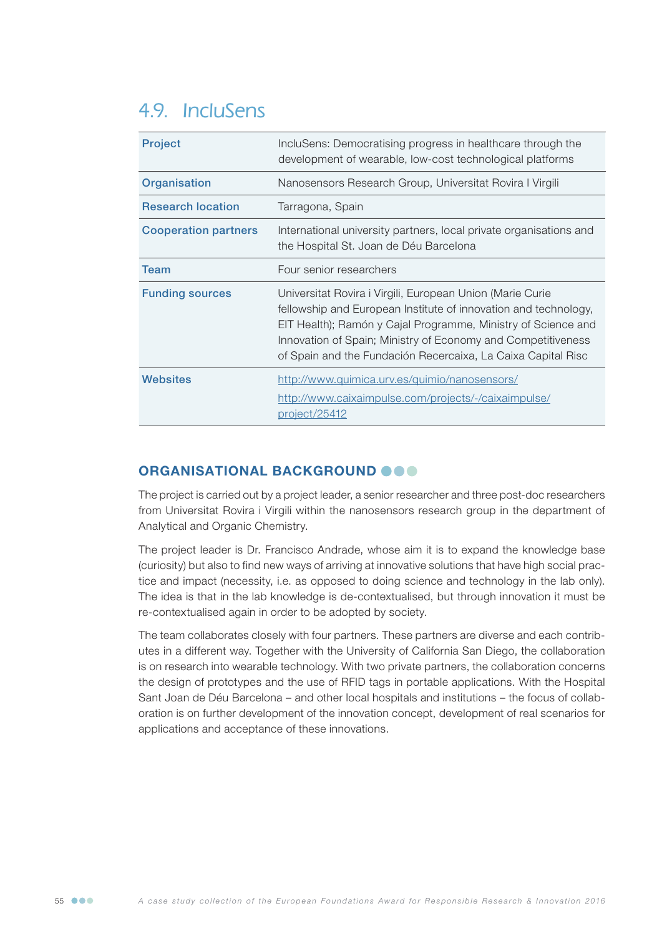# 4.9. IncluSens

| <b>Project</b>              | IncluSens: Democratising progress in healthcare through the<br>development of wearable, low-cost technological platforms                                                                                                                                                                                                      |
|-----------------------------|-------------------------------------------------------------------------------------------------------------------------------------------------------------------------------------------------------------------------------------------------------------------------------------------------------------------------------|
| Organisation                | Nanosensors Research Group, Universitat Rovira I Virgili                                                                                                                                                                                                                                                                      |
| <b>Research location</b>    | Tarragona, Spain                                                                                                                                                                                                                                                                                                              |
| <b>Cooperation partners</b> | International university partners, local private organisations and<br>the Hospital St. Joan de Déu Barcelona                                                                                                                                                                                                                  |
| Team                        | Four senior researchers                                                                                                                                                                                                                                                                                                       |
| <b>Funding sources</b>      | Universitat Rovira i Virgili, European Union (Marie Curie<br>fellowship and European Institute of innovation and technology,<br>EIT Health); Ramón y Cajal Programme, Ministry of Science and<br>Innovation of Spain; Ministry of Economy and Competitiveness<br>of Spain and the Fundación Recercaixa, La Caixa Capital Risc |
| Websites                    | http://www.quimica.urv.es/quimio/nanosensors/<br>http://www.caixaimpulse.com/projects/-/caixaimpulse/<br>project/25412                                                                                                                                                                                                        |

## ORGANISATIONAL BACKGROUND OOO

The project is carried out by a project leader, a senior researcher and three post-doc researchers from Universitat Rovira i Virgili within the nanosensors research group in the department of Analytical and Organic Chemistry.

The project leader is Dr. Francisco Andrade, whose aim it is to expand the knowledge base (curiosity) but also to find new ways of arriving at innovative solutions that have high social practice and impact (necessity, i.e. as opposed to doing science and technology in the lab only). The idea is that in the lab knowledge is de-contextualised, but through innovation it must be re-contextualised again in order to be adopted by society.

The team collaborates closely with four partners. These partners are diverse and each contributes in a different way. Together with the University of California San Diego, the collaboration is on research into wearable technology. With two private partners, the collaboration concerns the design of prototypes and the use of RFID tags in portable applications. With the Hospital Sant Joan de Déu Barcelona – and other local hospitals and institutions – the focus of collaboration is on further development of the innovation concept, development of real scenarios for applications and acceptance of these innovations.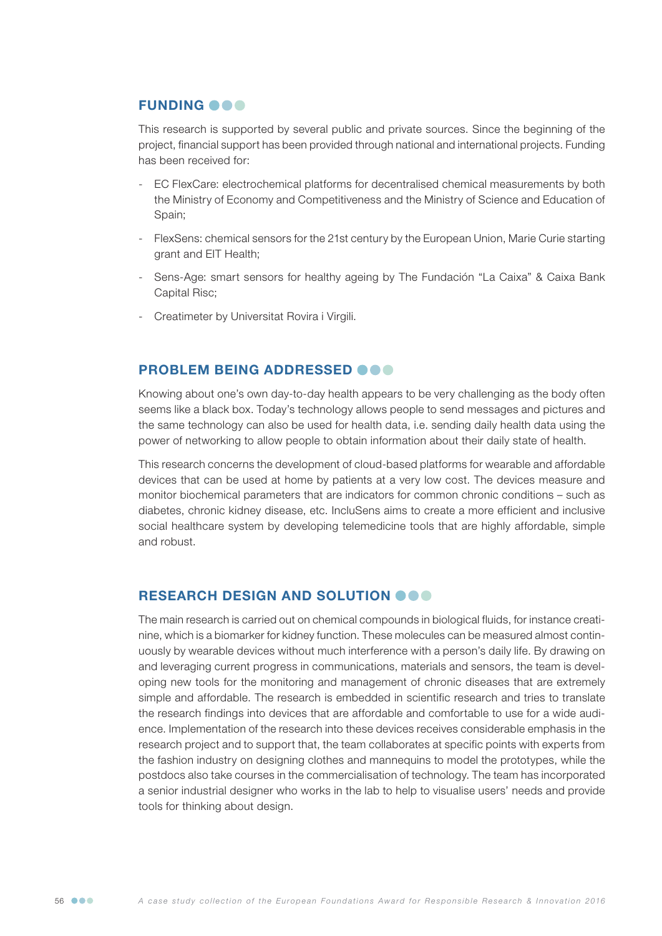## **FUNDING OOO**

This research is supported by several public and private sources. Since the beginning of the project, financial support has been provided through national and international projects. Funding has been received for:

- EC FlexCare: electrochemical platforms for decentralised chemical measurements by both the Ministry of Economy and Competitiveness and the Ministry of Science and Education of Spain:
- FlexSens: chemical sensors for the 21st century by the European Union, Marie Curie starting grant and EIT Health;
- Sens-Age: smart sensors for healthy ageing by The Fundación "La Caixa" & Caixa Bank Capital Risc;
- Creatimeter by Universitat Rovira i Virgili.

### PROBLEM BEING ADDRESSED OOO

Knowing about one's own day-to-day health appears to be very challenging as the body often seems like a black box. Today's technology allows people to send messages and pictures and the same technology can also be used for health data, i.e. sending daily health data using the power of networking to allow people to obtain information about their daily state of health.

This research concerns the development of cloud-based platforms for wearable and affordable devices that can be used at home by patients at a very low cost. The devices measure and monitor biochemical parameters that are indicators for common chronic conditions – such as diabetes, chronic kidney disease, etc. IncluSens aims to create a more efficient and inclusive social healthcare system by developing telemedicine tools that are highly affordable, simple and robust.

#### RESEARCH DESIGN AND SOLUTION OOO

The main research is carried out on chemical compounds in biological fluids, for instance creatinine, which is a biomarker for kidney function. These molecules can be measured almost continuously by wearable devices without much interference with a person's daily life. By drawing on and leveraging current progress in communications, materials and sensors, the team is developing new tools for the monitoring and management of chronic diseases that are extremely simple and affordable. The research is embedded in scientific research and tries to translate the research findings into devices that are affordable and comfortable to use for a wide audience. Implementation of the research into these devices receives considerable emphasis in the research project and to support that, the team collaborates at specific points with experts from the fashion industry on designing clothes and mannequins to model the prototypes, while the postdocs also take courses in the commercialisation of technology. The team has incorporated a senior industrial designer who works in the lab to help to visualise users' needs and provide tools for thinking about design.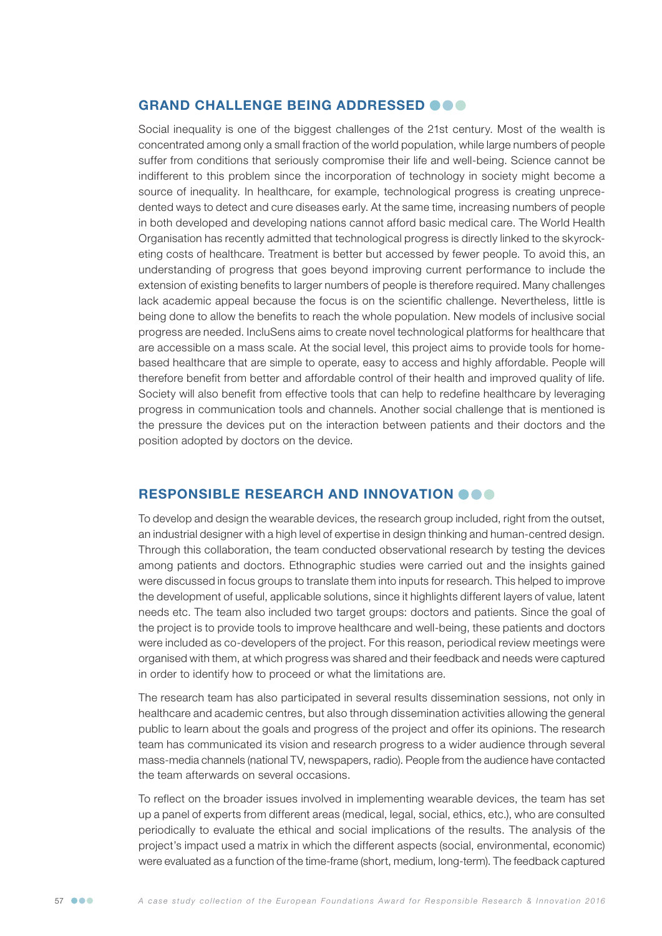## GRAND CHALLENGE BEING ADDRESSED @@@

Social inequality is one of the biggest challenges of the 21st century. Most of the wealth is concentrated among only a small fraction of the world population, while large numbers of people suffer from conditions that seriously compromise their life and well-being. Science cannot be indifferent to this problem since the incorporation of technology in society might become a source of inequality. In healthcare, for example, technological progress is creating unprecedented ways to detect and cure diseases early. At the same time, increasing numbers of people in both developed and developing nations cannot afford basic medical care. The World Health Organisation has recently admitted that technological progress is directly linked to the skyrocketing costs of healthcare. Treatment is better but accessed by fewer people. To avoid this, an understanding of progress that goes beyond improving current performance to include the extension of existing benefits to larger numbers of people is therefore required. Many challenges lack academic appeal because the focus is on the scientific challenge. Nevertheless, little is being done to allow the benefits to reach the whole population. New models of inclusive social progress are needed. IncluSens aims to create novel technological platforms for healthcare that are accessible on a mass scale. At the social level, this project aims to provide tools for homebased healthcare that are simple to operate, easy to access and highly affordable. People will therefore benefit from better and affordable control of their health and improved quality of life. Society will also benefit from effective tools that can help to redefine healthcare by leveraging progress in communication tools and channels. Another social challenge that is mentioned is the pressure the devices put on the interaction between patients and their doctors and the position adopted by doctors on the device.

#### RESPONSIBLE RESEARCH AND INNOVATION OOO

To develop and design the wearable devices, the research group included, right from the outset, an industrial designer with a high level of expertise in design thinking and human-centred design. Through this collaboration, the team conducted observational research by testing the devices among patients and doctors. Ethnographic studies were carried out and the insights gained were discussed in focus groups to translate them into inputs for research. This helped to improve the development of useful, applicable solutions, since it highlights different layers of value, latent needs etc. The team also included two target groups: doctors and patients. Since the goal of the project is to provide tools to improve healthcare and well-being, these patients and doctors were included as co-developers of the project. For this reason, periodical review meetings were organised with them, at which progress was shared and their feedback and needs were captured in order to identify how to proceed or what the limitations are.

The research team has also participated in several results dissemination sessions, not only in healthcare and academic centres, but also through dissemination activities allowing the general public to learn about the goals and progress of the project and offer its opinions. The research team has communicated its vision and research progress to a wider audience through several mass-media channels (national TV, newspapers, radio). People from the audience have contacted the team afterwards on several occasions.

To reflect on the broader issues involved in implementing wearable devices, the team has set up a panel of experts from different areas (medical, legal, social, ethics, etc.), who are consulted periodically to evaluate the ethical and social implications of the results. The analysis of the project's impact used a matrix in which the different aspects (social, environmental, economic) were evaluated as a function of the time-frame (short, medium, long-term). The feedback captured